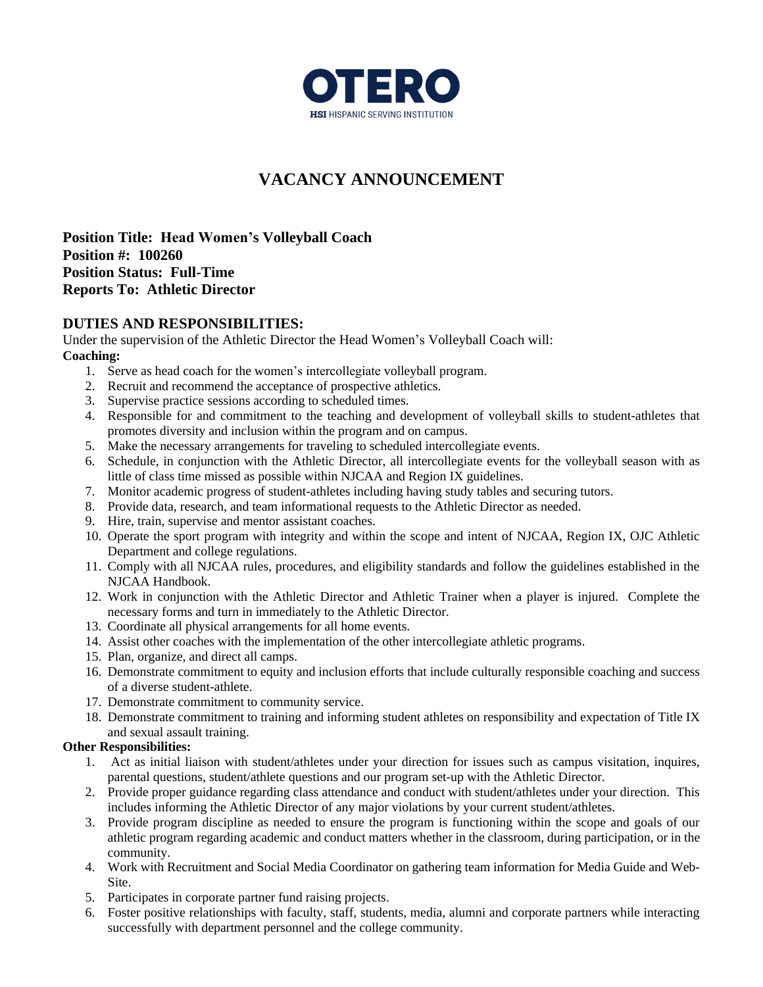

# **VACANCY ANNOUNCEMENT**

**Position Title: Head Women's Volleyball Coach Position #: 100260 Position Status: Full-Time Reports To: Athletic Director**

### **DUTIES AND RESPONSIBILITIES:**

Under the supervision of the Athletic Director the Head Women's Volleyball Coach will: **Coaching:**

- 1. Serve as head coach for the women's intercollegiate volleyball program.
- 2. Recruit and recommend the acceptance of prospective athletics.
- 3. Supervise practice sessions according to scheduled times.
- 4. Responsible for and commitment to the teaching and development of volleyball skills to student-athletes that promotes diversity and inclusion within the program and on campus.
- 5. Make the necessary arrangements for traveling to scheduled intercollegiate events.
- 6. Schedule, in conjunction with the Athletic Director, all intercollegiate events for the volleyball season with as little of class time missed as possible within NJCAA and Region IX guidelines.
- 7. Monitor academic progress of student-athletes including having study tables and securing tutors.
- 8. Provide data, research, and team informational requests to the Athletic Director as needed.
- 9. Hire, train, supervise and mentor assistant coaches.
- 10. Operate the sport program with integrity and within the scope and intent of NJCAA, Region IX, OJC Athletic Department and college regulations.
- 11. Comply with all NJCAA rules, procedures, and eligibility standards and follow the guidelines established in the NJCAA Handbook.
- 12. Work in conjunction with the Athletic Director and Athletic Trainer when a player is injured. Complete the necessary forms and turn in immediately to the Athletic Director.
- 13. Coordinate all physical arrangements for all home events.
- 14. Assist other coaches with the implementation of the other intercollegiate athletic programs.
- 15. Plan, organize, and direct all camps.
- 16. Demonstrate commitment to equity and inclusion efforts that include culturally responsible coaching and success of a diverse student-athlete.
- 17. Demonstrate commitment to community service.
- 18. Demonstrate commitment to training and informing student athletes on responsibility and expectation of Title IX and sexual assault training.

#### **Other Responsibilities:**

- 1. Act as initial liaison with student/athletes under your direction for issues such as campus visitation, inquires, parental questions, student/athlete questions and our program set-up with the Athletic Director.
- 2. Provide proper guidance regarding class attendance and conduct with student/athletes under your direction. This includes informing the Athletic Director of any major violations by your current student/athletes.
- 3. Provide program discipline as needed to ensure the program is functioning within the scope and goals of our athletic program regarding academic and conduct matters whether in the classroom, during participation, or in the community.
- 4. Work with Recruitment and Social Media Coordinator on gathering team information for Media Guide and Web-Site.
- 5. Participates in corporate partner fund raising projects.
- 6. Foster positive relationships with faculty, staff, students, media, alumni and corporate partners while interacting successfully with department personnel and the college community.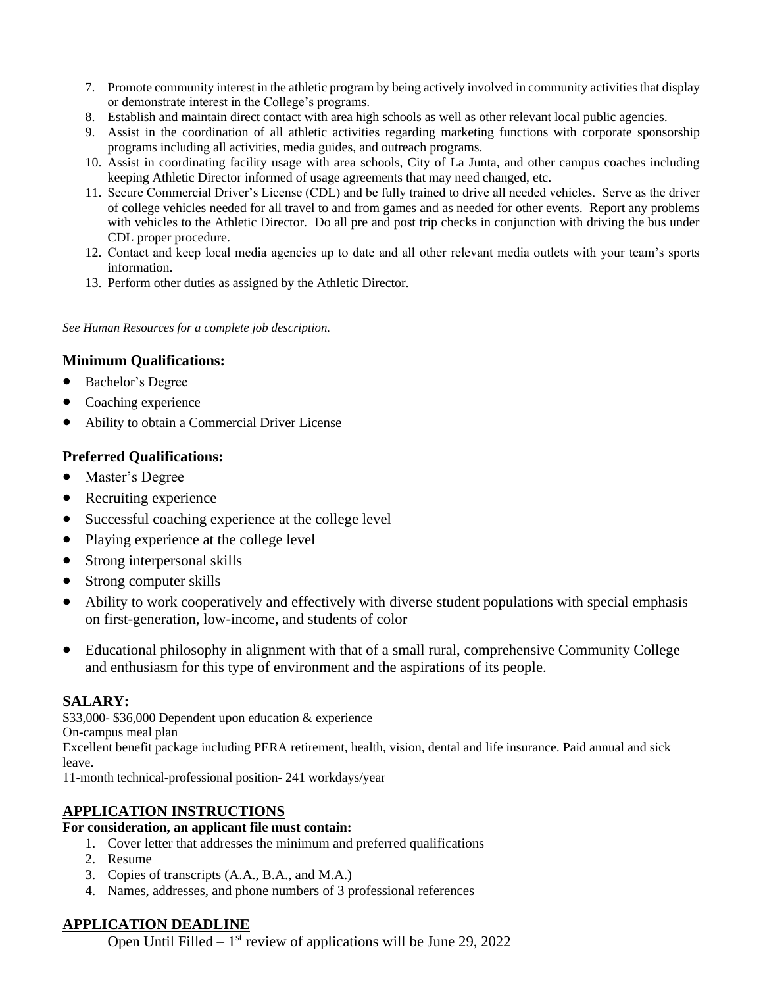- 7. Promote community interest in the athletic program by being actively involved in community activities that display or demonstrate interest in the College's programs.
- 8. Establish and maintain direct contact with area high schools as well as other relevant local public agencies.
- 9. Assist in the coordination of all athletic activities regarding marketing functions with corporate sponsorship programs including all activities, media guides, and outreach programs.
- 10. Assist in coordinating facility usage with area schools, City of La Junta, and other campus coaches including keeping Athletic Director informed of usage agreements that may need changed, etc.
- 11. Secure Commercial Driver's License (CDL) and be fully trained to drive all needed vehicles. Serve as the driver of college vehicles needed for all travel to and from games and as needed for other events. Report any problems with vehicles to the Athletic Director. Do all pre and post trip checks in conjunction with driving the bus under CDL proper procedure.
- 12. Contact and keep local media agencies up to date and all other relevant media outlets with your team's sports information.
- 13. Perform other duties as assigned by the Athletic Director.

*See Human Resources for a complete job description.*

## **Minimum Qualifications:**

- Bachelor's Degree
- Coaching experience
- Ability to obtain a Commercial Driver License

## **Preferred Qualifications:**

- Master's Degree
- Recruiting experience
- Successful coaching experience at the college level
- Playing experience at the college level
- Strong interpersonal skills
- Strong computer skills
- Ability to work cooperatively and effectively with diverse student populations with special emphasis on first-generation, low-income, and students of color
- Educational philosophy in alignment with that of a small rural, comprehensive Community College and enthusiasm for this type of environment and the aspirations of its people.

## **SALARY:**

\$33,000- \$36,000 Dependent upon education & experience

On-campus meal plan

Excellent benefit package including PERA retirement, health, vision, dental and life insurance. Paid annual and sick leave.

11-month technical-professional position- 241 workdays/year

## **APPLICATION INSTRUCTIONS**

#### **For consideration, an applicant file must contain:**

- 1. Cover letter that addresses the minimum and preferred qualifications
- 2. Resume
- 3. Copies of transcripts (A.A., B.A., and M.A.)
- 4. Names, addresses, and phone numbers of 3 professional references

## **APPLICATION DEADLINE**

Open Until Filled  $-1$ <sup>st</sup> review of applications will be June 29, 2022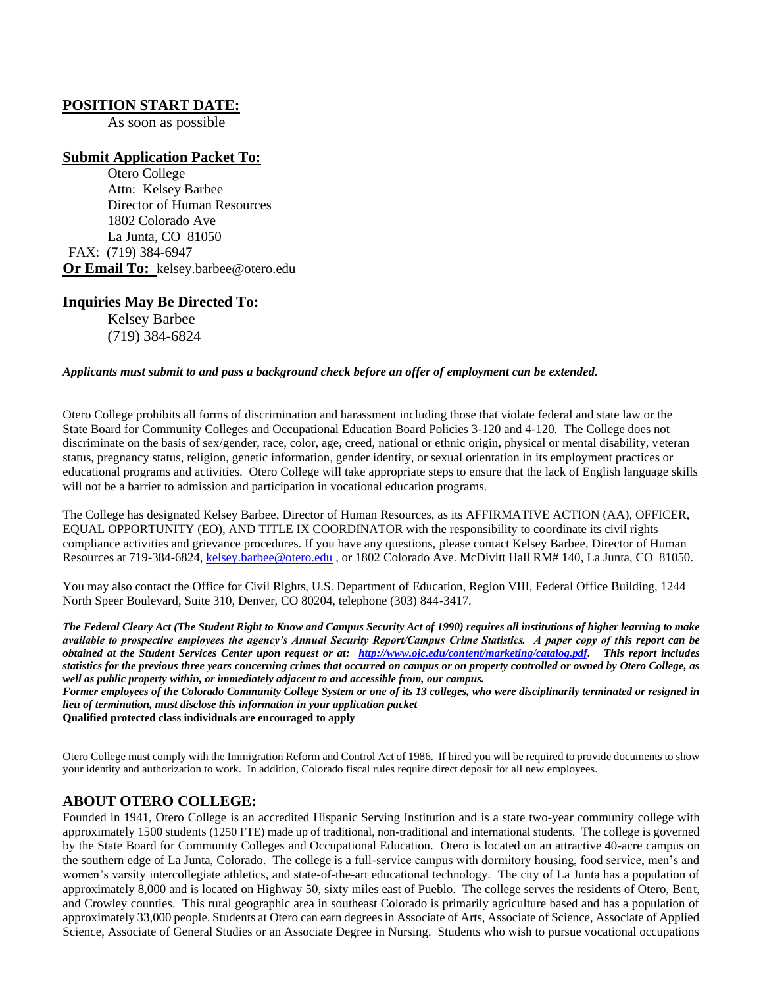#### **POSITION START DATE:**

As soon as possible

#### **Submit Application Packet To:**

Otero College Attn: Kelsey Barbee Director of Human Resources 1802 Colorado Ave La Junta, CO 81050 FAX: (719) 384-6947 **Or Email To:** kelsey.barbee@otero.edu

#### **Inquiries May Be Directed To:**

Kelsey Barbee (719) 384-6824

#### *Applicants must submit to and pass a background check before an offer of employment can be extended.*

Otero College prohibits all forms of discrimination and harassment including those that violate federal and state law or the State Board for Community Colleges and Occupational Education Board Policies 3-120 and 4-120. The College does not discriminate on the basis of sex/gender, race, color, age, creed, national or ethnic origin, physical or mental disability, veteran status, pregnancy status, religion, genetic information, gender identity, or sexual orientation in its employment practices or educational programs and activities. Otero College will take appropriate steps to ensure that the lack of English language skills will not be a barrier to admission and participation in vocational education programs.

The College has designated Kelsey Barbee, Director of Human Resources, as its AFFIRMATIVE ACTION (AA), OFFICER, EQUAL OPPORTUNITY (EO), AND TITLE IX COORDINATOR with the responsibility to coordinate its civil rights compliance activities and grievance procedures. If you have any questions, please contact Kelsey Barbee, Director of Human Resources at 719-384-6824, [kelsey.barbee@otero.edu](mailto:kelsey.barbee@otero.edu) , or 1802 Colorado Ave. McDivitt Hall RM# 140, La Junta, CO 81050.

You may also contact the Office for Civil Rights, U.S. Department of Education, Region VIII, Federal Office Building, 1244 North Speer Boulevard, Suite 310, Denver, CO 80204, telephone (303) 844-3417.

*The Federal Cleary Act (The Student Right to Know and Campus Security Act of 1990) requires all institutions of higher learning to make available to prospective employees the agency's Annual Security Report/Campus Crime Statistics. A paper copy of this report can be obtained at the Student Services Center upon request or at: [http://www.ojc.edu/content/marketing/catalog.pdf.](http://www.ojc.edu/content/marketing/catalog.pdf) This report includes statistics for the previous three years concerning crimes that occurred on campus or on property controlled or owned by Otero College, as well as public property within, or immediately adjacent to and accessible from, our campus.*

*Former employees of the Colorado Community College System or one of its 13 colleges, who were disciplinarily terminated or resigned in lieu of termination, must disclose this information in your application packet* **Qualified protected class individuals are encouraged to apply**

Otero College must comply with the Immigration Reform and Control Act of 1986. If hired you will be required to provide documents to show your identity and authorization to work. In addition, Colorado fiscal rules require direct deposit for all new employees.

#### **ABOUT OTERO COLLEGE:**

Founded in 1941, Otero College is an accredited Hispanic Serving Institution and is a state two-year community college with approximately 1500 students (1250 FTE) made up of traditional, non-traditional and international students. The college is governed by the State Board for Community Colleges and Occupational Education. Otero is located on an attractive 40-acre campus on the southern edge of La Junta, Colorado. The college is a full-service campus with dormitory housing, food service, men's and women's varsity intercollegiate athletics, and state-of-the-art educational technology. The city of La Junta has a population of approximately 8,000 and is located on Highway 50, sixty miles east of Pueblo. The college serves the residents of Otero, Bent, and Crowley counties. This rural geographic area in southeast Colorado is primarily agriculture based and has a population of approximately 33,000 people. Students at Otero can earn degrees in Associate of Arts, Associate of Science, Associate of Applied Science, Associate of General Studies or an Associate Degree in Nursing. Students who wish to pursue vocational occupations